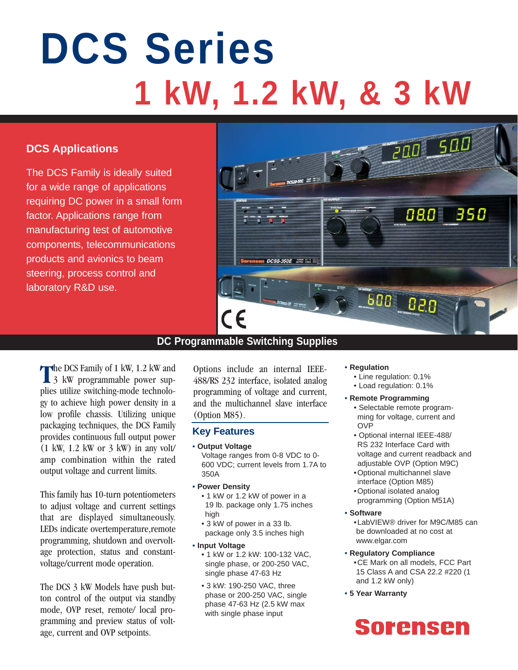# **DCS Series 1 kW, 1.2 kW, & 3 kW**

# **DCS Applications**

The DCS Family is ideally suited for a wide range of applications requiring DC power in a small form factor. Applications range from manufacturing test of automotive components, telecommunications products and avionics to beam steering, process control and laboratory R&D use.



# **DC Programmable Switching Supplies**

The DCS Family of 1 kW, 1.2 kW and 3 kW programmable power supplies utilize switching-mode technology to achieve high power density in a low profile chassis. Utilizing unique packaging techniques, the DCS Family provides continuous full output power  $(1 \text{ kW}, 1.2 \text{ kW})$  or 3 kW) in any volt amp combination within the rated output voltage and current limits.

This family has 10-turn potentiometers to adjust voltage and current settings that are displayed simultaneously. LEDs indicate overtemperature,remote programming, shutdown and overvoltage protection, status and constantvoltage/current mode operation.

The DCS 3 kW Models have push button control of the output via standby mode, OVP reset, remote/ local programming and preview status of voltage, current and OVP setpoints.

Options include an internal IEEE-488/RS 232 interface, isolated analog programming of voltage and current, and the multichannel slave interface (Option M85).

### **Key Features**

• **Output Voltage**

Voltage ranges from 0-8 VDC to 0- 600 VDC; current levels from 1.7A to 350A

- **Power Density**
	- 1 kW or 1.2 kW of power in a 19 lb. package only 1.75 inches high
	- 3 kW of power in a 33 lb. package only 3.5 inches high
- **Input Voltage**
	- 1 kW or 1.2 kW: 100-132 VAC, single phase, or 200-250 VAC, single phase 47-63 Hz
	- 3 kW: 190-250 VAC, three phase or 200-250 VAC, single phase 47-63 Hz (2.5 kW max with single phase input

#### • **Regulation**

- Line regulation: 0.1%
- Load regulation: 0.1%
- **Remote Programming**
	- Selectable remote programming for voltage, current and OVP
	- Optional internal IEEE-488/ RS 232 Interface Card with voltage and current readback and adjustable OVP (Option M9C)
	- •Optional multichannel slave interface (Option M85)
	- •Optional isolated analog programming (Option M51A)
- **Software**
	- •LabVIEW® driver for M9C/M85 can be downloaded at no cost at www.elgar.com
- **Regulatory Compliance** •CE Mark on all models, FCC Part 15 Class A and CSA 22.2 #220 (1 and 1.2 kW only)
- **5 Year Warranty**

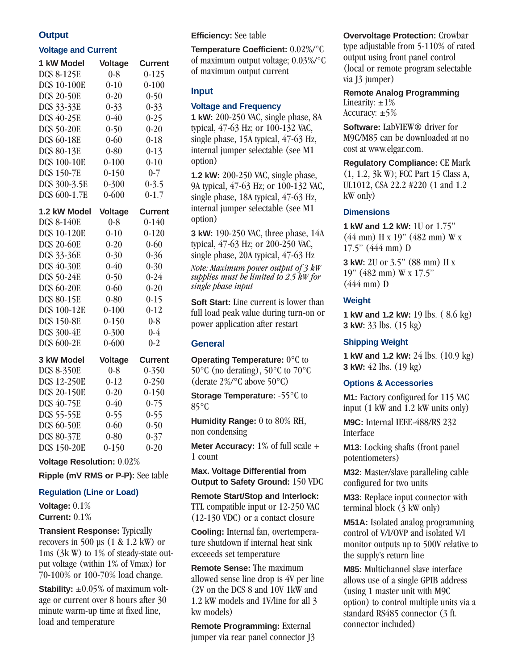#### **Output**

#### **Voltage and Current**

| 1 kW Model         | <b>Voltage</b> | <b>Current</b> |
|--------------------|----------------|----------------|
| <b>DCS 8-125E</b>  | $0 - 8$        | $0 - 125$      |
| <b>DCS 10-100E</b> | $0 - 10$       | $0 - 100$      |
| <b>DCS 20-50E</b>  | $0 - 20$       | $0 - 50$       |
| DCS 33-33E         | $0 - 33$       | $0 - 33$       |
| <b>DCS 40-25E</b>  | $0 - 40$       | $0 - 25$       |
| <b>DCS 50-20E</b>  | $0 - 50$       | $0 - 20$       |
| <b>DCS 60-18E</b>  | $0 - 60$       | $0 - 18$       |
| <b>DCS 80-13E</b>  | $0 - 80$       | $0-13$         |
| <b>DCS 100-10E</b> | $0 - 100$      | $0 - 10$       |
| <b>DCS 150-7E</b>  | $0-150$        | $0 - 7$        |
| DCS 300-3.5E       | $0 - 300$      | $0 - 3.5$      |
| DCS 600-1.7E       | $0 - 600$      | $0-1.7$        |
| 1.2 kW Model       | <b>Voltage</b> | <b>Current</b> |
| <b>DCS 8-140E</b>  | $0 - 8$        | $0 - 140$      |
| <b>DCS 10-120E</b> | $0 - 10$       | $0 - 120$      |
| <b>DCS 20-60E</b>  | $0 - 20$       | $0 - 60$       |
| <b>DCS 33-36E</b>  | $0 - 30$       | $0 - 36$       |
| <b>DCS 40-30E</b>  | $0 - 40$       | $0 - 30$       |
| <b>DCS 50-24E</b>  | $0 - 50$       | $0 - 24$       |
| <b>DCS 60-20E</b>  | $0 - 60$       | $0 - 20$       |
| <b>DCS 80-15E</b>  | $0 - 80$       | $0 - 15$       |
| <b>DCS 100-12E</b> | $0 - 100$      | $0 - 12$       |
| <b>DCS 150-8E</b>  | $0 - 150$      | $0 - 8$        |
| <b>DCS 300-4E</b>  | $0 - 300$      | $0 - 4$        |
| <b>DCS 600-2E</b>  | $0 - 600$      | $0 - 2$        |
| 3 kW Model         | <b>Voltage</b> | <b>Current</b> |
| <b>DCS 8-350E</b>  | $0 - 8$        | $0 - 350$      |
| <b>DCS 12-250E</b> | $0 - 12$       | $0 - 250$      |
| <b>DCS 20-150E</b> | $0 - 20$       | $0 - 150$      |
| <b>DCS 40-75E</b>  | $0 - 40$       | $0 - 75$       |
| <b>DCS 55-55E</b>  | $0 - 55$       | $0 - 55$       |
| <b>DCS 60-50E</b>  | $0 - 60$       | $0 - 50$       |
| <b>DCS 80-37E</b>  | $0 - 80$       | $0 - 37$       |
| <b>DCS 150-20E</b> | $0 - 150$      | $0 - 20$       |

#### **Voltage Resolution:** 0.02%

**Ripple (mV RMS or P-P):** See table

#### **Regulation (Line or Load)**

**Voltage:** 0.1% **Current:** 0.1%

#### **Transient Response:** Typically recovers in 500 µs  $(1 \& 1.2 \text{ kW})$  or 1ms (3k W) to 1% of steady-state output voltage (within 1% of Vmax) for 70-100% or 100-70% load change.

**Stability:**  $\pm 0.05\%$  of maximum voltage or current over 8 hours after 30 minute warm-up time at fixed line, load and temperature

#### **Efficiency:** See table

**Temperature Coefficient:** 0.02%/°C of maximum output voltage; 0.03%/°C of maximum output current

#### **Input**

#### **Voltage and Frequency**

**1 kW:** 200-250 VAC, single phase, 8A typical, 47-63 Hz; or 100-132 VAC, single phase, 15A typical, 47-63 Hz, internal jumper selectable (see M1 option)

**1.2 kW:** 200-250 VAC, single phase, 9A typical, 47-63 Hz; or 100-132 VAC, single phase, 18A typical, 47-63 Hz, internal jumper selectable (see M1 option)

**3 kW:** 190-250 VAC, three phase, 14A typical, 47-63 Hz; or 200-250 VAC, single phase, 20A typical, 47-63 Hz

*Note: Maximum power output of 3 kW supplies must be limited to 2.5 kW for single phase input* 

**Soft Start:** Line current is lower than full load peak value during turn-on or power application after restart

#### **General**

**Operating Temperature:**  $0^{\circ}$ **C to** 50°C (no derating), 50°C to 70°C (derate 2%/°C above 50°C)

**Storage Temperature: -55°C to**  $85^\circ C$ 

**Humidity Range:** 0 to 80% RH, non condensing

**Meter Accuracy:** 1% of full scale + 1 count

**Max. Voltage Differential from Output to Safety Ground:** 150 VDC

**Remote Start/Stop and Interlock:** TTL compatible input or 12-250 VAC (12-130 VDC) or a contact closure

**Cooling:** Internal fan, overtemperature shutdown if internal heat sink exceeeds set temperature

**Remote Sense:** The maximum allowed sense line drop is 4V per line (2V on the DCS 8 and 10V 1kW and 1.2 kW models and 1V/line for all 3 kw models)

**Remote Programming:** External jumper via rear panel connector J3

#### **Overvoltage Protection:** Crowbar type adjustable from 5-110% of rated output using front panel control (local or remote program selectable via J3 jumper)

**Remote Analog Programming** Linearity:  $\pm 1\%$ Accuracy:  $\pm$ 5%

**Software:** LabVIEW® driver for M9C/M85 can be downloaded at no cost at www.elgar.com.

**Regulatory Compliance:** CE Mark (1, 1.2, 3k W); FCC Part 15 Class A, UL1012, CSA 22.2 #220 (1 and 1.2 kW only)

#### **Dimensions**

**1 kW and 1.2 kW:** 1U or 1.75" (44 mm) H x 19" (482 mm) W x 17.5" (444 mm) D

**3 kW:** 2U or 3.5" (88 mm) H x 19" (482 mm) W x 17.5" (444 mm) D

#### **Weight**

**1 kW and 1.2 kW:** 19 lbs. ( 8.6 kg) **3 kW:** 33 lbs. (15 kg)

#### **Shipping Weight**

**1 kW and 1.2 kW:** 24 lbs. (10.9 kg) **3 kW:** 42 lbs. (19 kg)

#### **Options & Accessories**

**M1:** Factory configured for 115 VAC input (1 kW and 1.2 kW units only)

**M9C:** Internal IEEE-488/RS 232 Interface

**M13:** Locking shafts (front panel potentiometers)

**M32:** Master/slave paralleling cable configured for two units

**M33:** Replace input connector with terminal block (3 kW only)

**M51A:** Isolated analog programming control of V/I/OVP and isolated V/I monitor outputs up to 500V relative to the supply's return line

**M85:** Multichannel slave interface allows use of a single GPIB address (using 1 master unit with M9C option) to control multiple units via a standard RS485 connector (3 ft. connector included)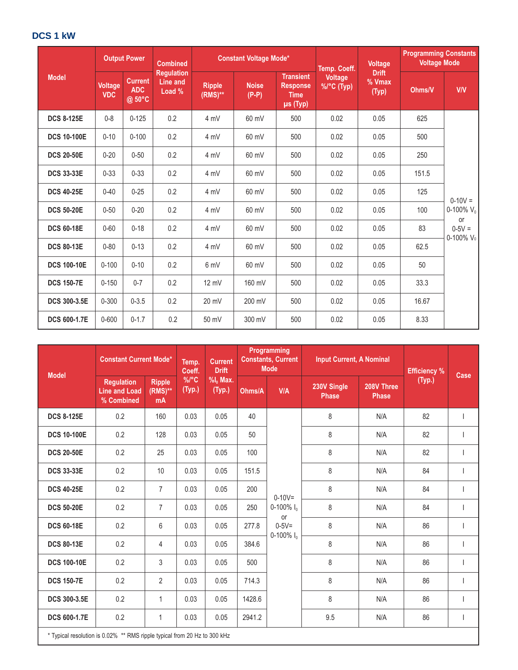# **DCS 1 kW**

|                     |                              | <b>Output Power</b>                    | <b>Constant Voltage Mode*</b><br><b>Combined</b> |                             | Temp. Coeff.            | <b>Voltage</b>                                                 | <b>Programming Constants</b><br><b>Voltage Mode</b> |                                 |        |                                |
|---------------------|------------------------------|----------------------------------------|--------------------------------------------------|-----------------------------|-------------------------|----------------------------------------------------------------|-----------------------------------------------------|---------------------------------|--------|--------------------------------|
| <b>Model</b>        | <b>Voltage</b><br><b>VDC</b> | <b>Current</b><br><b>ADC</b><br>@ 50°C | <b>Regulation</b><br>Line and<br>Load %          | <b>Ripple</b><br>$(RMS)$ ** | <b>Noise</b><br>$(P-P)$ | <b>Transient</b><br><b>Response</b><br><b>Time</b><br>µs (Typ) | <b>Voltage</b><br>$\frac{9}{6}$ (C (Typ)            | <b>Drift</b><br>% Vmax<br>(Typ) | Ohms/V | <b>V/V</b>                     |
| <b>DCS 8-125E</b>   | $0 - 8$                      | $0 - 125$                              | 0.2                                              | 4 mV                        | 60 mV                   | 500                                                            | 0.02                                                | 0.05                            | 625    |                                |
| <b>DCS 10-100E</b>  | $0 - 10$                     | $0 - 100$                              | 0.2                                              | 4 mV                        | 60 mV                   | 500                                                            | 0.02                                                | 0.05                            | 500    |                                |
| <b>DCS 20-50E</b>   | $0 - 20$                     | $0 - 50$                               | 0.2                                              | 4 mV                        | 60 mV                   | 500                                                            | 0.02                                                | 0.05                            | 250    |                                |
| <b>DCS 33-33E</b>   | $0 - 33$                     | $0 - 33$                               | 0.2                                              | 4 mV                        | 60 mV                   | 500                                                            | 0.02                                                | 0.05                            | 151.5  |                                |
| <b>DCS 40-25E</b>   | $0 - 40$                     | $0 - 25$                               | 0.2                                              | 4 mV                        | 60 mV                   | 500                                                            | 0.02                                                | 0.05                            | 125    | $0-10V =$                      |
| <b>DCS 50-20E</b>   | $0 - 50$                     | $0 - 20$                               | 0.2                                              | 4 mV                        | 60 mV                   | 500                                                            | 0.02                                                | 0.05                            | 100    | 0-100% $V_0$                   |
| <b>DCS 60-18E</b>   | $0 - 60$                     | $0 - 18$                               | 0.2                                              | 4 mV                        | 60 mV                   | 500                                                            | 0.02                                                | 0.05                            | 83     | or<br>$0 - 5V =$<br>0-100% Vol |
| <b>DCS 80-13E</b>   | $0 - 80$                     | $0 - 13$                               | 0.2                                              | 4 mV                        | 60 mV                   | 500                                                            | 0.02                                                | 0.05                            | 62.5   |                                |
| <b>DCS 100-10E</b>  | $0 - 100$                    | $0 - 10$                               | 0.2                                              | 6 mV                        | 60 mV                   | 500                                                            | 0.02                                                | 0.05                            | 50     |                                |
| <b>DCS 150-7E</b>   | $0 - 150$                    | $0 - 7$                                | 0.2                                              | $12 \text{ mV}$             | 160 mV                  | 500                                                            | 0.02                                                | 0.05                            | 33.3   |                                |
| <b>DCS 300-3.5E</b> | $0 - 300$                    | $0 - 3.5$                              | 0.2                                              | 20 mV                       | 200 mV                  | 500                                                            | 0.02                                                | 0.05                            | 16.67  |                                |
| <b>DCS 600-1.7E</b> | $0 - 600$                    | $0 - 1.7$                              | 0.2                                              | 50 mV                       | 300 mV                  | 500                                                            | 0.02                                                | 0.05                            | 8.33   |                                |

| <b>Model</b>        |                                                                           | <b>Constant Current Mode*</b>     |                               | <b>Current</b><br>Temp.<br><b>Drift</b><br>Coeff. |        | <b>Programming</b><br><b>Constants, Current</b><br><b>Mode</b> | <b>Input Current, A Nominal</b> |                            | <b>Efficiency %</b> | Case |
|---------------------|---------------------------------------------------------------------------|-----------------------------------|-------------------------------|---------------------------------------------------|--------|----------------------------------------------------------------|---------------------------------|----------------------------|---------------------|------|
|                     | <b>Regulation</b><br><b>Line and Load</b><br>% Combined                   | <b>Ripple</b><br>$(RMS)$ **<br>mA | $\%$ <sup>o</sup> C<br>(Typ.) | $%$ I <sub>n</sub> Max.<br>(Typ.)                 | Ohms/A | <b>V/A</b>                                                     | 230V Single<br><b>Phase</b>     | 208V Three<br><b>Phase</b> | (Typ.)              |      |
| <b>DCS 8-125E</b>   | 0.2                                                                       | 160                               | 0.03                          | 0.05                                              | 40     |                                                                | 8                               | N/A                        | 82                  |      |
| <b>DCS 10-100E</b>  | 0.2                                                                       | 128                               | 0.03                          | 0.05                                              | 50     |                                                                | 8                               | N/A                        | 82                  |      |
| <b>DCS 20-50E</b>   | 0.2                                                                       | 25                                | 0.03                          | 0.05                                              | 100    |                                                                | 8                               | N/A                        | 82                  |      |
| <b>DCS 33-33E</b>   | 0.2                                                                       | 10                                | 0.03                          | 0.05                                              | 151.5  |                                                                | 8                               | N/A                        | 84                  |      |
| <b>DCS 40-25E</b>   | 0.2                                                                       | $\overline{7}$                    | 0.03                          | 0.05                                              | 200    | $0 - 10V =$                                                    | 8                               | N/A                        | 84                  |      |
| <b>DCS 50-20E</b>   | 0.2                                                                       | $\overline{7}$                    | 0.03                          | 0.05                                              | 250    | $0-100\%$ $I_0$<br><b>or</b>                                   | 8                               | N/A                        | 84                  |      |
| <b>DCS 60-18E</b>   | 0.2                                                                       | 6                                 | 0.03                          | 0.05                                              | 277.8  | $0 - 5V =$<br>0-100% $I_0$                                     | 8                               | N/A                        | 86                  |      |
| <b>DCS 80-13E</b>   | 0.2                                                                       | 4                                 | 0.03                          | 0.05                                              | 384.6  |                                                                | 8                               | N/A                        | 86                  |      |
| <b>DCS 100-10E</b>  | 0.2                                                                       | 3                                 | 0.03                          | 0.05                                              | 500    |                                                                | 8                               | N/A                        | 86                  |      |
| <b>DCS 150-7E</b>   | 0.2                                                                       | $\overline{2}$                    | 0.03                          | 0.05                                              | 714.3  |                                                                | 8                               | N/A                        | 86                  |      |
| <b>DCS 300-3.5E</b> | 0.2                                                                       | 1                                 | 0.03                          | 0.05                                              | 1428.6 |                                                                | 8                               | N/A                        | 86                  |      |
| <b>DCS 600-1.7E</b> | 0.2                                                                       | $\mathbf{1}$                      | 0.03                          | 0.05                                              | 2941.2 |                                                                | 9.5                             | N/A                        | 86                  |      |
|                     | * Typical resolution is 0.02% ** RMS ripple typical from 20 Hz to 300 kHz |                                   |                               |                                                   |        |                                                                |                                 |                            |                     |      |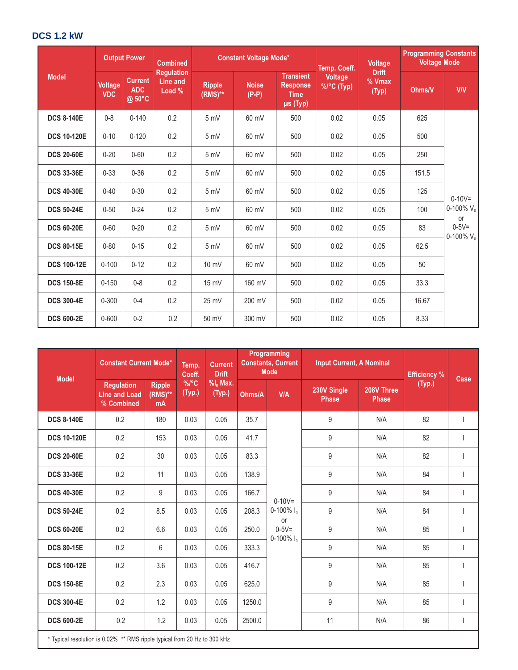# **DCS 1.2 kW**

|                    |                              | <b>Output Power</b>                    | <b>Combined</b>                                |                               | <b>Constant Voltage Mode*</b> |                                                                | Temp. Coeff.          | <b>Voltage</b>                  | <b>Programming Constants</b><br><b>Voltage Mode</b> |                            |
|--------------------|------------------------------|----------------------------------------|------------------------------------------------|-------------------------------|-------------------------------|----------------------------------------------------------------|-----------------------|---------------------------------|-----------------------------------------------------|----------------------------|
| <b>Model</b>       | <b>Voltage</b><br><b>VDC</b> | <b>Current</b><br><b>ADC</b><br>@ 50°C | <b>Regulation</b><br><b>Line and</b><br>Load % | <b>Ripple</b><br>$(RMS)^{**}$ | <b>Noise</b><br>$(P-P)$       | <b>Transient</b><br><b>Response</b><br><b>Time</b><br>µs (Typ) | Voltage<br>%/°C (Typ) | <b>Drift</b><br>% Vmax<br>(Typ) | Ohms/V                                              | <b>V/V</b>                 |
| <b>DCS 8-140E</b>  | $0 - 8$                      | $0 - 140$                              | 0.2                                            | 5 mV                          | 60 mV                         | 500                                                            | 0.02                  | 0.05                            | 625                                                 |                            |
| <b>DCS 10-120E</b> | $0 - 10$                     | $0 - 120$                              | 0.2                                            | 5 mV                          | 60 mV                         | 500                                                            | 0.02                  | 0.05                            | 500                                                 |                            |
| <b>DCS 20-60E</b>  | $0 - 20$                     | $0 - 60$                               | 0.2                                            | 5 mV                          | 60 mV                         | 500                                                            | 0.02                  | 0.05                            | 250                                                 |                            |
| <b>DCS 33-36E</b>  | $0 - 33$                     | $0 - 36$                               | 0.2                                            | 5 mV                          | 60 mV                         | 500                                                            | 0.02                  | 0.05                            | 151.5                                               |                            |
| <b>DCS 40-30E</b>  | $0 - 40$                     | $0 - 30$                               | 0.2                                            | 5 mV                          | 60 mV                         | 500                                                            | 0.02                  | 0.05                            | 125                                                 | $0 - 10V =$                |
| <b>DCS 50-24E</b>  | $0 - 50$                     | $0 - 24$                               | 0.2                                            | 5 mV                          | 60 mV                         | 500                                                            | 0.02                  | 0.05                            | 100                                                 | 0-100% $V_0$<br><b>or</b>  |
| <b>DCS 60-20E</b>  | $0 - 60$                     | $0 - 20$                               | 0.2                                            | 5 mV                          | 60 mV                         | 500                                                            | 0.02                  | 0.05                            | 83                                                  | $0 - 5V =$<br>0-100% $V_0$ |
| <b>DCS 80-15E</b>  | $0 - 80$                     | $0 - 15$                               | 0.2                                            | 5 mV                          | 60 mV                         | 500                                                            | 0.02                  | 0.05                            | 62.5                                                |                            |
| <b>DCS 100-12E</b> | $0 - 100$                    | $0 - 12$                               | 0.2                                            | $10 \text{ mV}$               | 60 mV                         | 500                                                            | 0.02                  | 0.05                            | 50                                                  |                            |
| <b>DCS 150-8E</b>  | $0 - 150$                    | $0 - 8$                                | 0.2                                            | 15 mV                         | 160 mV                        | 500                                                            | 0.02                  | 0.05                            | 33.3                                                |                            |
| <b>DCS 300-4E</b>  | $0 - 300$                    | $0 - 4$                                | 0.2                                            | 25 mV                         | 200 mV                        | 500                                                            | 0.02                  | 0.05                            | 16.67                                               |                            |
| <b>DCS 600-2E</b>  | $0 - 600$                    | $0 - 2$                                | 0.2                                            | 50 mV                         | 300 mV                        | 500                                                            | 0.02                  | 0.05                            | 8.33                                                |                            |

| <b>Model</b>       | <b>Constant Current Mode*</b>                                             |                                     | Temp.<br>Coeff.               | <b>Current</b><br><b>Drift</b>    |        | <b>Programming</b><br><b>Constants, Current</b><br><b>Input Current, A Nominal</b><br><b>Mode</b> |                             | <b>Efficiency %</b>        | Case   |                |
|--------------------|---------------------------------------------------------------------------|-------------------------------------|-------------------------------|-----------------------------------|--------|---------------------------------------------------------------------------------------------------|-----------------------------|----------------------------|--------|----------------|
|                    | <b>Regulation</b><br><b>Line and Load</b><br>% Combined                   | <b>Ripple</b><br>$(RMS)^{**}$<br>mA | $\%$ <sup>o</sup> C<br>(Typ.) | $%$ I <sub>0</sub> Max.<br>(Typ.) | Ohms/A | <b>V/A</b>                                                                                        | 230V Single<br><b>Phase</b> | 208V Three<br><b>Phase</b> | (Typ.) |                |
| <b>DCS 8-140E</b>  | 0.2                                                                       | 180                                 | 0.03                          | 0.05                              | 35.7   |                                                                                                   | 9                           | N/A                        | 82     |                |
| <b>DCS 10-120E</b> | 0.2                                                                       | 153                                 | 0.03                          | 0.05                              | 41.7   |                                                                                                   | 9                           | N/A                        | 82     |                |
| <b>DCS 20-60E</b>  | 0.2                                                                       | 30                                  | 0.03                          | 0.05                              | 83.3   |                                                                                                   | 9                           | N/A                        | 82     |                |
| <b>DCS 33-36E</b>  | 0.2                                                                       | 11                                  | 0.03                          | 0.05                              | 138.9  |                                                                                                   | 9                           | N/A                        | 84     |                |
| <b>DCS 40-30E</b>  | 0.2                                                                       | 9                                   | 0.03                          | 0.05                              | 166.7  | $0 - 10V =$<br>0-100% $I_0$<br>or                                                                 | 9                           | N/A                        | 84     |                |
| <b>DCS 50-24E</b>  | 0.2                                                                       | 8.5                                 | 0.03                          | 0.05                              | 208.3  |                                                                                                   | 9                           | N/A                        | 84     |                |
| <b>DCS 60-20E</b>  | 0.2                                                                       | 6.6                                 | 0.03                          | 0.05                              | 250.0  | $0 - 5V =$<br>$0-100\%$ $I_0$                                                                     | 9                           | N/A                        | 85     |                |
| <b>DCS 80-15E</b>  | 0.2                                                                       | 6                                   | 0.03                          | 0.05                              | 333.3  |                                                                                                   | 9                           | N/A                        | 85     |                |
| <b>DCS 100-12E</b> | 0.2                                                                       | 3.6                                 | 0.03                          | 0.05                              | 416.7  |                                                                                                   | 9                           | N/A                        | 85     |                |
| <b>DCS 150-8E</b>  | 0.2                                                                       | 2.3                                 | 0.03                          | 0.05                              | 625.0  |                                                                                                   | 9                           | N/A                        | 85     |                |
| <b>DCS 300-4E</b>  | 0.2                                                                       | 1.2                                 | 0.03                          | 0.05                              | 1250.0 |                                                                                                   | 9                           | N/A                        | 85     |                |
| <b>DCS 600-2E</b>  | 0.2                                                                       | 1.2                                 | 0.03                          | 0.05                              | 2500.0 |                                                                                                   | 11                          | N/A                        | 86     | $\overline{1}$ |
|                    | * Typical resolution is 0.02% ** RMS ripple typical from 20 Hz to 300 kHz |                                     |                               |                                   |        |                                                                                                   |                             |                            |        |                |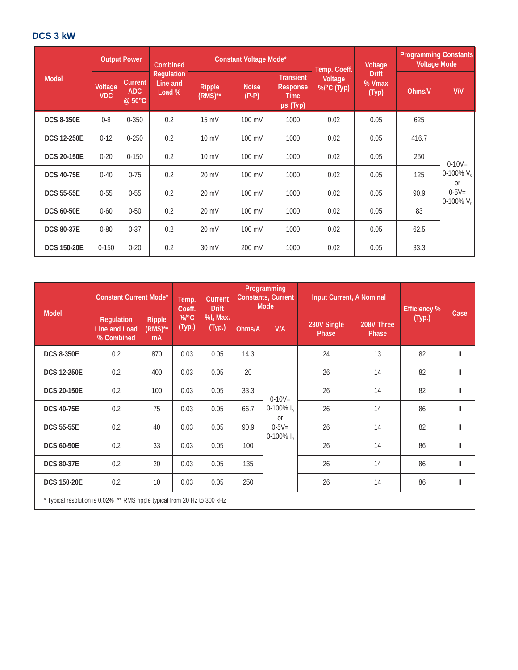# **DCS 3 kW**

|                    | <b>Output Power</b><br>Combined |                                 |                                         | Constant Voltage Mode*      |                         | Temp. Coeff.                                                   | Voltage               | <b>Programming Constants</b><br><b>Voltage Mode</b> |        |                            |
|--------------------|---------------------------------|---------------------------------|-----------------------------------------|-----------------------------|-------------------------|----------------------------------------------------------------|-----------------------|-----------------------------------------------------|--------|----------------------------|
| <b>Model</b>       | Voltage<br><b>VDC</b>           | Current<br><b>ADC</b><br>@ 50°C | <b>Regulation</b><br>Line and<br>Load % | <b>Ripple</b><br>$(RMS)$ ** | <b>Noise</b><br>$(P-P)$ | <b>Transient</b><br><b>Response</b><br><b>Time</b><br>µs (Typ) | Voltage<br>%/°C (Typ) | <b>Drift</b><br>% Vmax<br>(Typ)                     | Ohms/V | V/V                        |
| <b>DCS 8-350E</b>  | $0 - 8$                         | $0 - 350$                       | 0.2                                     | $15$ mV                     | 100 mV                  | 1000                                                           | 0.02                  | 0.05                                                | 625    |                            |
| <b>DCS 12-250E</b> | $0 - 12$                        | $0 - 250$                       | 0.2                                     | $10 \text{ mV}$             | 100 mV                  | 1000                                                           | 0.02                  | 0.05                                                | 416.7  |                            |
| <b>DCS 20-150E</b> | $0 - 20$                        | $0 - 150$                       | 0.2                                     | $10 \text{ mV}$             | 100 mV                  | 1000                                                           | 0.02                  | 0.05                                                | 250    | $0 - 10V =$                |
| <b>DCS 40-75E</b>  | $0 - 40$                        | $0 - 75$                        | 0.2                                     | 20 mV                       | 100 mV                  | 1000                                                           | 0.02                  | 0.05                                                | 125    | 0-100% $V_0$<br><b>or</b>  |
| <b>DCS 55-55E</b>  | $0 - 55$                        | $0 - 55$                        | 0.2                                     | 20 mV                       | 100 mV                  | 1000                                                           | 0.02                  | 0.05                                                | 90.9   | $0 - 5V =$<br>0-100% $V_0$ |
| <b>DCS 60-50E</b>  | $0 - 60$                        | $0 - 50$                        | 0.2                                     | $20 \text{ mV}$             | 100 mV                  | 1000                                                           | 0.02                  | 0.05                                                | 83     |                            |
| <b>DCS 80-37E</b>  | $0 - 80$                        | $0 - 37$                        | 0.2                                     | 20 mV                       | 100 mV                  | 1000                                                           | 0.02                  | 0.05                                                | 62.5   |                            |
| <b>DCS 150-20E</b> | $0 - 150$                       | $0 - 20$                        | 0.2                                     | 30 mV                       | 200 mV                  | 1000                                                           | 0.02                  | 0.05                                                | 33.3   |                            |

| <b>Model</b>       | <b>Constant Current Mode*</b>                                             |                              | <b>Current</b><br>Temp.<br><b>Drift</b><br>Coeff. |                                 | Programming<br><b>Constants, Current</b><br><b>Mode</b> |                                        | Input Current, A Nominal |                     | <b>Efficiency %</b> | Case          |
|--------------------|---------------------------------------------------------------------------|------------------------------|---------------------------------------------------|---------------------------------|---------------------------------------------------------|----------------------------------------|--------------------------|---------------------|---------------------|---------------|
|                    | <b>Requlation</b><br><b>Line and Load</b><br>% Combined                   | Ripple<br>$(RMS)^{**}$<br>mA | $%$ <sup><math>\circ</math></sup> C<br>(Typ.)     | $%$ <sub>0</sub> Max.<br>(Typ.) | Ohms/A                                                  | V/A                                    | 230V Single<br>Phase     | 208V Three<br>Phase | (Typ.)              |               |
| <b>DCS 8-350E</b>  | 0.2                                                                       | 870                          | 0.03                                              | 0.05                            | 14.3                                                    |                                        | 24                       | 13                  | 82                  | $\mathbb{I}$  |
| <b>DCS 12-250E</b> | 0.2                                                                       | 400                          | 0.03                                              | 0.05                            | 20                                                      |                                        | 26                       | 14                  | 82                  | $\mathbb{I}$  |
| <b>DCS 20-150E</b> | 0.2                                                                       | 100                          | 0.03                                              | 0.05                            | 33.3                                                    | $0 - 10V =$                            | 26                       | 14                  | 82                  | $\mathbf{  }$ |
| <b>DCS 40-75E</b>  | 0.2                                                                       | 75                           | 0.03                                              | 0.05                            | 66.7                                                    | 0-100% $I_0$<br><b>or</b>              | 26                       | 14                  | 86                  | $\mathbb{I}$  |
| <b>DCS 55-55E</b>  | 0.2                                                                       | 40                           | 0.03                                              | 0.05                            | 90.9                                                    | $0 - 5V =$<br>$0-100\%$ I <sub>0</sub> | 26                       | 14                  | 82                  | $\mathbf{  }$ |
| <b>DCS 60-50E</b>  | 0.2                                                                       | 33                           | 0.03                                              | 0.05                            | 100                                                     |                                        | 26                       | 14                  | 86                  | $\mathbf{  }$ |
| <b>DCS 80-37E</b>  | 0.2                                                                       | 20                           | 0.03                                              | 0.05                            | 135                                                     |                                        | 26                       | 14                  | 86                  | $\mathbf{  }$ |
| <b>DCS 150-20E</b> | 0.2                                                                       | 10                           | 0.03                                              | 0.05                            | 250                                                     |                                        | 26                       | 14                  | 86                  | $\mathbf{  }$ |
|                    | * Typical resolution is 0.02% ** RMS ripple typical from 20 Hz to 300 kHz |                              |                                                   |                                 |                                                         |                                        |                          |                     |                     |               |